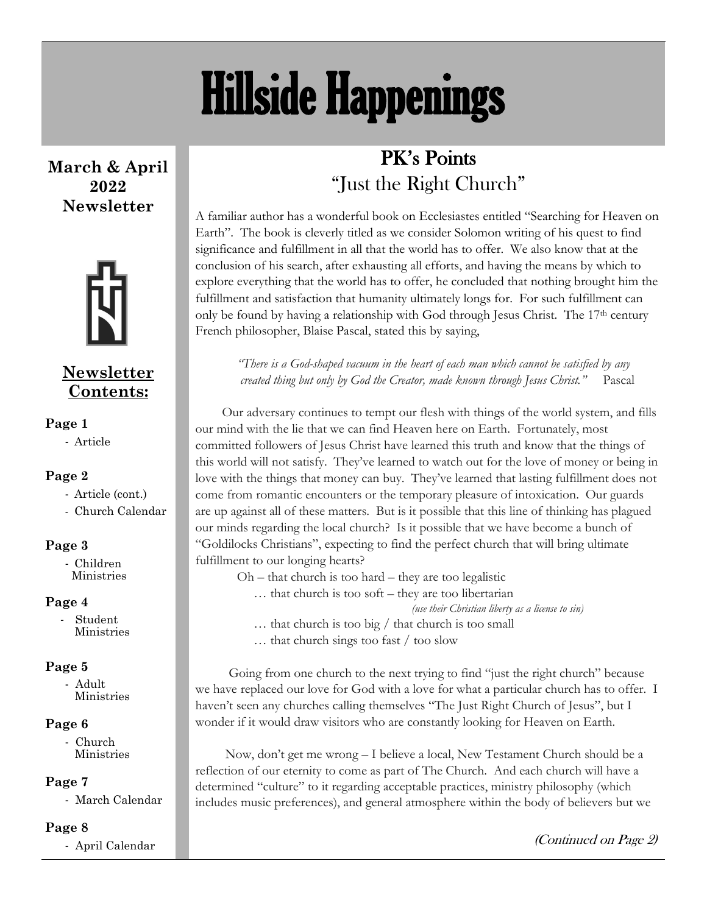# Hillside Happenings

**March & April 2022 Newsletter**



#### **Newsletter Contents:**

#### **Page 1**

- Article

#### **Page 2**

- Article (cont.)
- Church Calendar

#### **Page 3**

- Children Ministries

#### **Page 4**

- Student Ministries

#### **Page 5**

- Adult Ministries

#### **Page 6**

- Church Ministries

#### **Page 7**

- March Calendar

#### **Page 8**

- April Calendar

### PK's Points "Just the Right Church"

A familiar author has a wonderful book on Ecclesiastes entitled "Searching for Heaven on Earth". The book is cleverly titled as we consider Solomon writing of his quest to find significance and fulfillment in all that the world has to offer. We also know that at the conclusion of his search, after exhausting all efforts, and having the means by which to explore everything that the world has to offer, he concluded that nothing brought him the fulfillment and satisfaction that humanity ultimately longs for. For such fulfillment can only be found by having a relationship with God through Jesus Christ. The  $17<sup>th</sup>$  century French philosopher, Blaise Pascal, stated this by saying,

*"There is a God-shaped vacuum in the heart of each man which cannot be satisfied by any created thing but only by God the Creator, made known through Jesus Christ."* Pascal

 Our adversary continues to tempt our flesh with things of the world system, and fills our mind with the lie that we can find Heaven here on Earth. Fortunately, most committed followers of Jesus Christ have learned this truth and know that the things of this world will not satisfy. They've learned to watch out for the love of money or being in love with the things that money can buy. They've learned that lasting fulfillment does not come from romantic encounters or the temporary pleasure of intoxication. Our guards are up against all of these matters. But is it possible that this line of thinking has plagued our minds regarding the local church? Is it possible that we have become a bunch of "Goldilocks Christians", expecting to find the perfect church that will bring ultimate fulfillment to our longing hearts?

 $Oh$  – that church is too hard – they are too legalistic … that church is too soft – they are too libertarian

*(use their Christian liberty as a license to sin)*

… that church is too big / that church is too small

… that church sings too fast / too slow

 Going from one church to the next trying to find "just the right church" because we have replaced our love for God with a love for what a particular church has to offer. I haven't seen any churches calling themselves "The Just Right Church of Jesus", but I wonder if it would draw visitors who are constantly looking for Heaven on Earth.

 Now, don't get me wrong – I believe a local, New Testament Church should be a reflection of our eternity to come as part of The Church. And each church will have a determined "culture" to it regarding acceptable practices, ministry philosophy (which includes music preferences), and general atmosphere within the body of believers but we

(Continued on Page 2)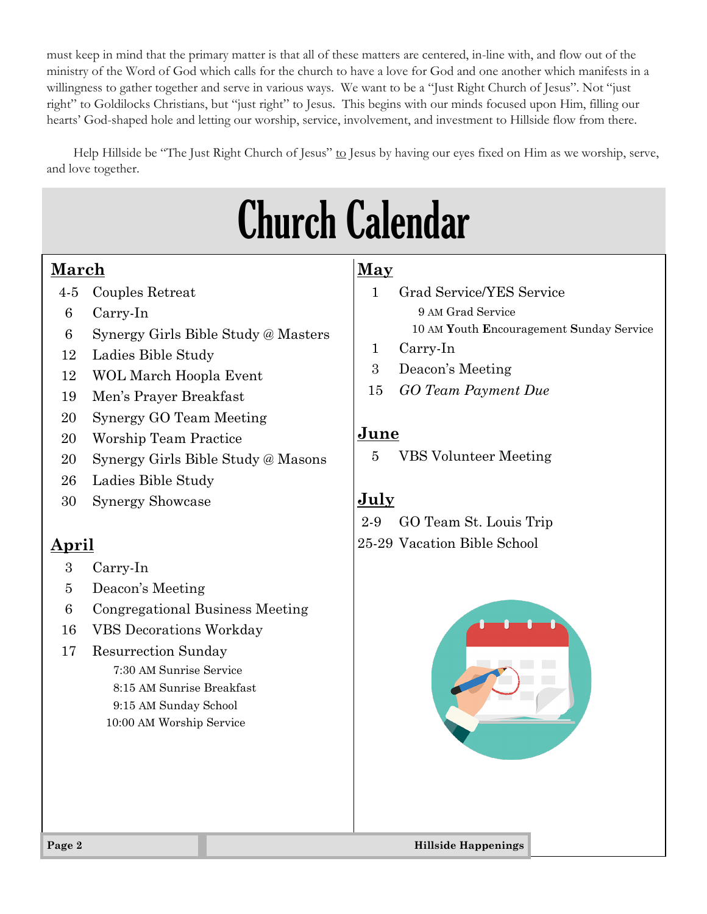must keep in mind that the primary matter is that all of these matters are centered, in-line with, and flow out of the ministry of the Word of God which calls for the church to have a love for God and one another which manifests in a willingness to gather together and serve in various ways. We want to be a "Just Right Church of Jesus". Not "just right" to Goldilocks Christians, but "just right" to Jesus. This begins with our minds focused upon Him, filling our hearts' God-shaped hole and letting our worship, service, involvement, and investment to Hillside flow from there.

Help Hillside be "The Just Right Church of Jesus" to Jesus by having our eyes fixed on Him as we worship, serve, and love together.

## Church Calendar

#### **March**

- 4-5 Couples Retreat
- 6 Carry-In
- 6 Synergy Girls Bible Study @ Masters
- 12 Ladies Bible Study
- 12 WOL March Hoopla Event
- 19 Men's Prayer Breakfast
- 20 Synergy GO Team Meeting
- 20 Worship Team Practice
- 20 Synergy Girls Bible Study @ Masons
- 26 Ladies Bible Study
- 30 Synergy Showcase

### **April**

- 3 Carry-In
- 5 Deacon's Meeting
- 6 Congregational Business Meeting
- 16 VBS Decorations Workday
- 17 Resurrection Sunday

7:30 AM Sunrise Service 8:15 AM Sunrise Breakfast 9:15 AM Sunday School 10:00 AM Worship Service

#### **May**

- 1 Grad Service/YES Service 9 AM Grad Service 10 AM **Y**outh **E**ncouragement **S**unday Service
- 1 Carry-In
- 3 Deacon's Meeting
- 15 *GO Team Payment Due*

#### **June**

5 VBS Volunteer Meeting

### **July**

2-9 GO Team St. Louis Trip 25-29 Vacation Bible School

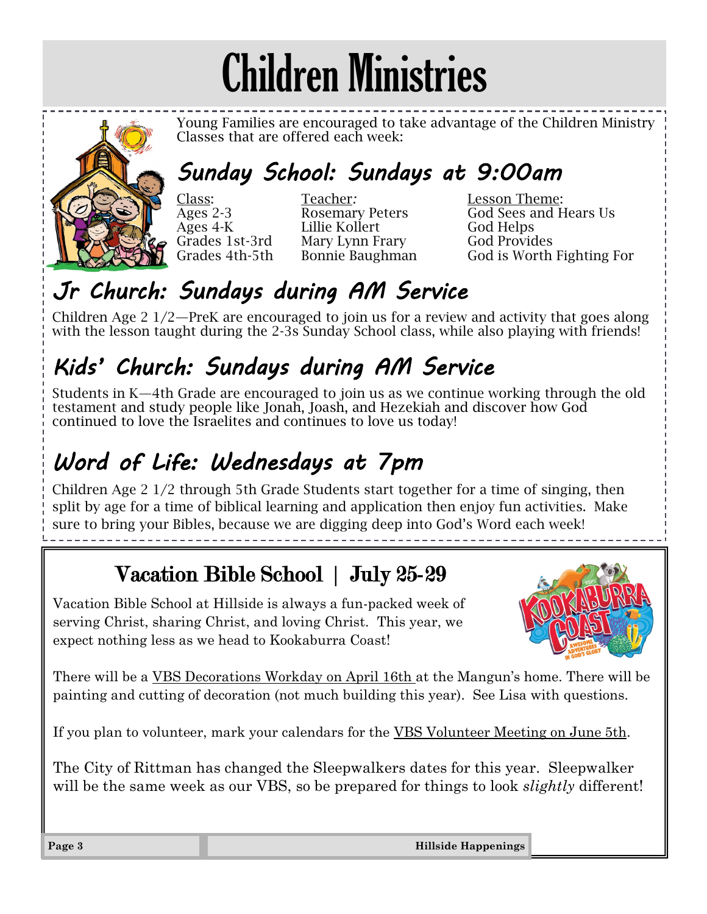## Children Ministries



Young Families are encouraged to take advantage of the Children Ministry Classes that are offered each week:

## *Sunday School: Sundays at 9:00am*

Class: Teacher*:* Lesson Theme: Ages 4-K Lillie Kollert God Helps Grades 1st-3rd Mary Lynn Frary God Provides<br>Grades 4th-5th Bonnie Baughman God is Worth

Ages 2-3 Rosemary Peters God Sees and Hears Us Bonnie Baughman God is Worth Fighting For

## *Jr Church: Sundays during AM Service*

Children Age 2 1/2—PreK are encouraged to join us for a review and activity that goes along with the lesson taught during the 2-3s Sunday School class, while also playing with friends!

## *Kids' Church: Sundays during AM Service*

Students in K—4th Grade are encouraged to join us as we continue working through the old testament and study people like Jonah, Joash, and Hezekiah and discover how God continued to love the Israelites and continues to love us today!

## *Word of Life: Wednesdays at 7pm*

Children Age 2 1/2 through 5th Grade Students start together for a time of singing, then split by age for a time of biblical learning and application then enjoy fun activities. Make sure to bring your Bibles, because we are digging deep into God's Word each week!

## Vacation Bible School | July 25-29

Vacation Bible School at Hillside is always a fun-packed week of serving Christ, sharing Christ, and loving Christ. This year, we expect nothing less as we head to Kookaburra Coast!



There will be a VBS Decorations Workday on April 16th at the Mangun's home. There will be painting and cutting of decoration (not much building this year). See Lisa with questions.

If you plan to volunteer, mark your calendars for the VBS Volunteer Meeting on June 5th.

The City of Rittman has changed the Sleepwalkers dates for this year. Sleepwalker will be the same week as our VBS, so be prepared for things to look *slightly* different!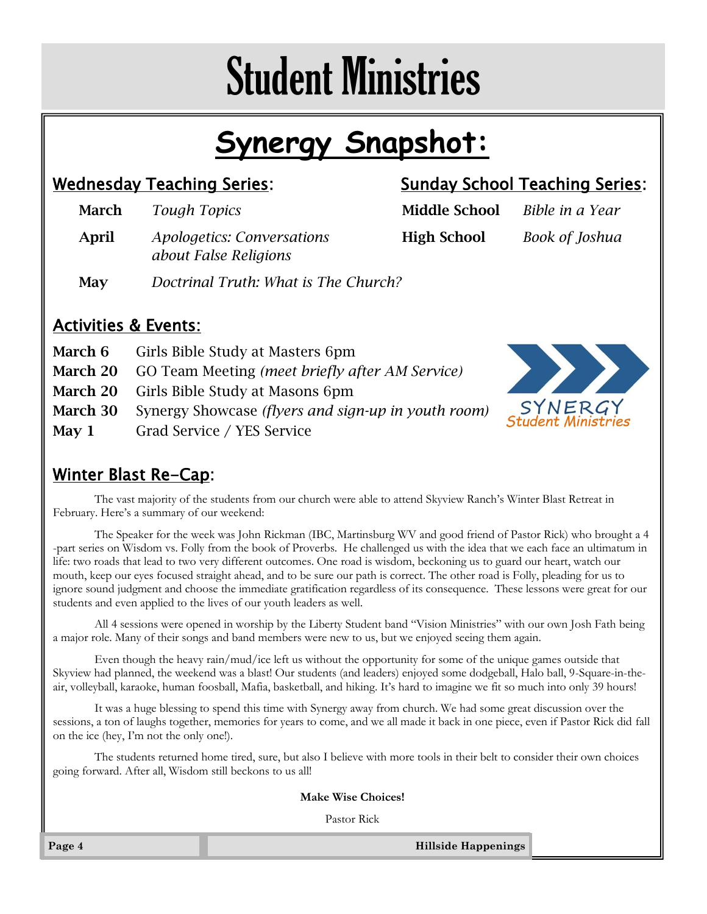## Student Ministries

## **Synergy Snapshot:**

### Wednesday Teaching Series: Sunday School Teaching Series:

**March** *Tough Topics* **Middle School** *Bible in a Year* April *Apologetics: Conversations* High School *Book of Joshua about False Religions*

#### May *Doctrinal Truth: What is The Church?*

#### Activities & Events:

|         | <b>March 6</b> Girls Bible Study at Masters 6pm                            |
|---------|----------------------------------------------------------------------------|
|         | <b>March 20</b> GO Team Meeting (meet briefly after AM Service)            |
|         | <b>March 20</b> Girls Bible Study at Masons 6pm                            |
|         | <b>March 30</b> Synergy Showcase <i>(flyers and sign-up in youth room)</i> |
| May $1$ | Grad Service / YES Service                                                 |



### Winter Blast Re-Cap:

The vast majority of the students from our church were able to attend Skyview Ranch's Winter Blast Retreat in February. Here's a summary of our weekend:

The Speaker for the week was John Rickman (IBC, Martinsburg WV and good friend of Pastor Rick) who brought a 4 -part series on Wisdom vs. Folly from the book of Proverbs. He challenged us with the idea that we each face an ultimatum in life: two roads that lead to two very different outcomes. One road is wisdom, beckoning us to guard our heart, watch our mouth, keep our eyes focused straight ahead, and to be sure our path is correct. The other road is Folly, pleading for us to ignore sound judgment and choose the immediate gratification regardless of its consequence. These lessons were great for our students and even applied to the lives of our youth leaders as well.

All 4 sessions were opened in worship by the Liberty Student band "Vision Ministries" with our own Josh Fath being a major role. Many of their songs and band members were new to us, but we enjoyed seeing them again.

Even though the heavy rain/mud/ice left us without the opportunity for some of the unique games outside that Skyview had planned, the weekend was a blast! Our students (and leaders) enjoyed some dodgeball, Halo ball, 9-Square-in-theair, volleyball, karaoke, human foosball, Mafia, basketball, and hiking. It's hard to imagine we fit so much into only 39 hours!

It was a huge blessing to spend this time with Synergy away from church. We had some great discussion over the sessions, a ton of laughs together, memories for years to come, and we all made it back in one piece, even if Pastor Rick did fall on the ice (hey, I'm not the only one!).

The students returned home tired, sure, but also I believe with more tools in their belt to consider their own choices going forward. After all, Wisdom still beckons to us all!

**Make Wise Choices!**

Pastor Rick

**Page 4 Hillside Happenings**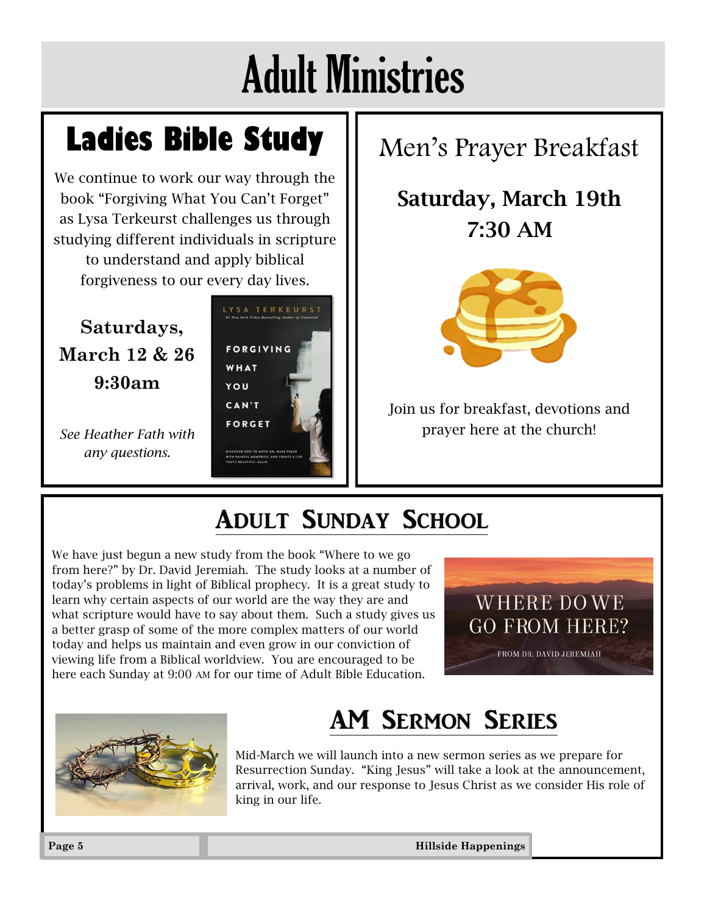## Adult Ministries

## **Ladies Bible Study**

We continue to work our way through the book "Forgiving What You Can't Forget" as Lysa Terkeurst challenges us through studying different individuals in scripture to understand and apply biblical forgiveness to our every day lives.

**Saturdays, March 12 & 26 9:30am**

*See Heather Fath with any questions.* 



## Men's Prayer Breakfast

## Saturday, March 19th 7:30 AM



Join us for breakfast, devotions and prayer here at the church!

## Adult Sunday School

We have just begun a new study from the book "Where to we go from here?" by Dr. David Jeremiah. The study looks at a number of today's problems in light of Biblical prophecy. It is a great study to learn why certain aspects of our world are the way they are and what scripture would have to say about them. Such a study gives us a better grasp of some of the more complex matters of our world today and helps us maintain and even grow in our conviction of viewing life from a Biblical worldview. You are encouraged to be here each Sunday at 9:00 AM for our time of Adult Bible Education.





## AM Sermon Series

Mid-March we will launch into a new sermon series as we prepare for Resurrection Sunday. "King Jesus" will take a look at the announcement, arrival, work, and our response to Jesus Christ as we consider His role of king in our life.

**Page 5 Hillside Happenings**